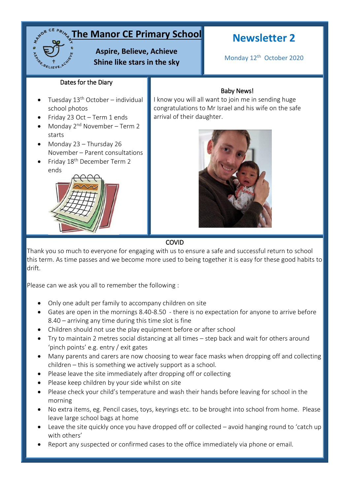## **The Manor CE Primary School**

## **Aspire, Believe, Achieve Shine like stars in the sky**

# **Newsletter 2**

Monday 12<sup>th</sup> October 2020

#### Dates for the Diary

- Tuesday 13<sup>th</sup> October individual school photos
- Friday 23 Oct Term 1 ends
- Monday  $2^{nd}$  November Term 2 starts
- Monday 23 Thursday 26 November – Parent consultations
- Friday 18th December Term 2 ends



### Baby News!

I know you will all want to join me in sending huge congratulations to Mr Israel and his wife on the safe arrival of their daughter.



#### COVID

Thank you so much to everyone for engaging with us to ensure a safe and successful return to school this term. As time passes and we become more used to being together it is easy for these good habits to drift.

Please can we ask you all to remember the following :

- Only one adult per family to accompany children on site
- Gates are open in the mornings 8.40-8.50 there is no expectation for anyone to arrive before 8.40 – arriving any time during this time slot is fine
- Children should not use the play equipment before or after school
- Try to maintain 2 metres social distancing at all times step back and wait for others around 'pinch points' e.g. entry / exit gates
- Many parents and carers are now choosing to wear face masks when dropping off and collecting children – this is something we actively support as a school.
- Please leave the site immediately after dropping off or collecting
- Please keep children by your side whilst on site
- Please check your child's temperature and wash their hands before leaving for school in the morning
- No extra items, eg. Pencil cases, toys, keyrings etc. to be brought into school from home. Please leave large school bags at home
- Leave the site quickly once you have dropped off or collected avoid hanging round to 'catch up with others'
- Report any suspected or confirmed cases to the office immediately via phone or email.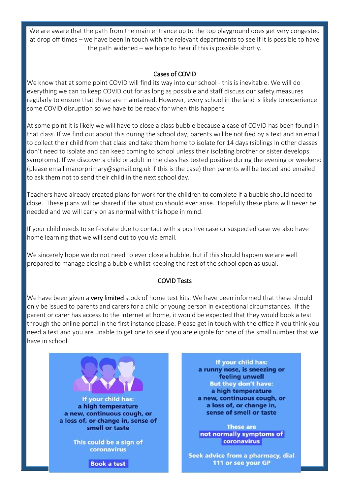We are aware that the path from the main entrance up to the top playground does get very congested at drop off times – we have been in touch with the relevant departments to see if it is possible to have the path widened – we hope to hear if this is possible shortly.

#### Cases of COVID

We know that at some point COVID will find its way into our school - this is inevitable. We will do everything we can to keep COVID out for as long as possible and staff discuss our safety measures regularly to ensure that these are maintained. However, every school in the land is likely to experience some COVID disruption so we have to be ready for when this happens

At some point it is likely we will have to close a class bubble because a case of COVID has been found in that class. If we find out about this during the school day, parents will be notified by a text and an email to collect their child from that class and take them home to isolate for 14 days (siblings in other classes don't need to isolate and can keep coming to school unless their isolating brother or sister develops symptoms). If we discover a child or adult in the class has tested positive during the evening or weekend (please email manorprimary@sgmail.org.uk if this is the case) then parents will be texted and emailed to ask them not to send their child in the next school day.

Teachers have already created plans for work for the children to complete if a bubble should need to close. These plans will be shared if the situation should ever arise. Hopefully these plans will never be needed and we will carry on as normal with this hope in mind.

If your child needs to self-isolate due to contact with a positive case or suspected case we also have home learning that we will send out to you via email.

We sincerely hope we do not need to ever close a bubble, but if this should happen we are well prepared to manage closing a bubble whilst keeping the rest of the school open as usual.

#### COVID Tests

We have been given a **very limited** stock of home test kits. We have been informed that these should only be issued to parents and carers for a child or young person in exceptional circumstances. If the parent or carer has access to the internet at home, it would be expected that they would book a test through the online portal in the first instance please. Please get in touch with the office if you think you need a test and you are unable to get one to see if you are eligible for one of the small number that we have in school.



If your child has: a runny nose, is sneezing or feeling unwell **But they don't have:** a high temperature a new, continuous cough, or a loss of, or change in, sense of smell or taste

**These are** not normally symptoms of coronavirus

Seek advice from a pharmacy, dial 111 or see your GP

**Book a test**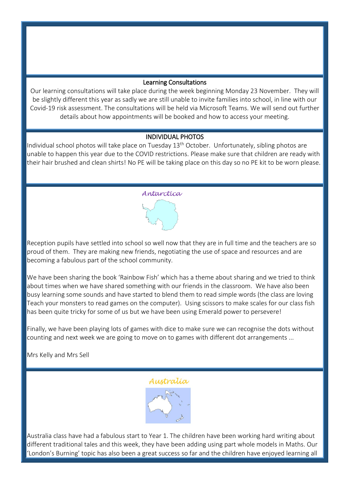#### Learning Consultations

Our learning consultations will take place during the week beginning Monday 23 November. They will be slightly different this year as sadly we are still unable to invite families into school, in line with our Covid-19 risk assessment. The consultations will be held via Microsoft Teams. We will send out further details about how appointments will be booked and how to access your meeting.

#### INDIVIDUAL PHOTOS

Individual school photos will take place on Tuesday 13<sup>th</sup> October. Unfortunately, sibling photos are unable to happen this year due to the COVID restrictions. Please make sure that children are ready with their hair brushed and clean shirts! No PE will be taking place on this day so no PE kit to be worn please.

#### Antarctica

Reception pupils have settled into school so well now that they are in full time and the teachers are so proud of them. They are making new friends, negotiating the use of space and resources and are becoming a fabulous part of the school community.

We have been sharing the book 'Rainbow Fish' which has a theme about sharing and we tried to think about times when we have shared something with our friends in the classroom. We have also been busy learning some sounds and have started to blend them to read simple words (the class are loving Teach your monsters to read games on the computer). Using scissors to make scales for our class fish has been quite tricky for some of us but we have been using Emerald power to persevere!

Finally, we have been playing lots of games with dice to make sure we can recognise the dots without counting and next week we are going to move on to games with different dot arrangements ...

Mrs Kelly and Mrs Sell



Australia class have had a fabulous start to Year 1. The children have been working hard writing about different traditional tales and this week, they have been adding using part whole models in Maths. Our 'London's Burning' topic has also been a great success so far and the children have enjoyed learning all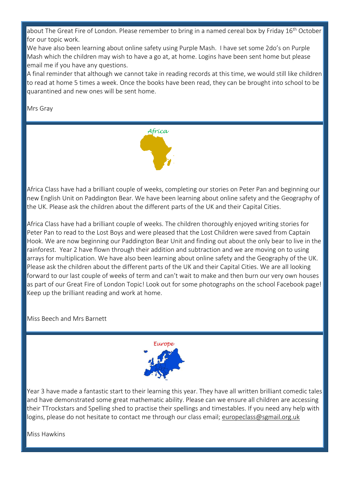about The Great Fire of London. Please remember to bring in a named cereal box by Friday 16<sup>th</sup> October for our topic work.

We have also been learning about online safety using Purple Mash. I have set some 2do's on Purple Mash which the children may wish to have a go at, at home. Logins have been sent home but please email me if you have any questions.

A final reminder that although we cannot take in reading records at this time, we would still like children to read at home 5 times a week. Once the books have been read, they can be brought into school to be quarantined and new ones will be sent home.

Mrs Gray



Africa Class have had a brilliant couple of weeks, completing our stories on Peter Pan and beginning our new English Unit on Paddington Bear. We have been learning about online safety and the Geography of the UK. Please ask the children about the different parts of the UK and their Capital Cities.

Africa Class have had a brilliant couple of weeks. The children thoroughly enjoyed writing stories for Peter Pan to read to the Lost Boys and were pleased that the Lost Children were saved from Captain Hook. We are now beginning our Paddington Bear Unit and finding out about the only bear to live in the rainforest. Year 2 have flown through their addition and subtraction and we are moving on to using arrays for multiplication. We have also been learning about online safety and the Geography of the UK. Please ask the children about the different parts of the UK and their Capital Cities. We are all looking forward to our last couple of weeks of term and can't wait to make and then burn our very own houses as part of our Great Fire of London Topic! Look out for some photographs on the school Facebook page! Keep up the brilliant reading and work at home.

Miss Beech and Mrs Barnett



Year 3 have made a fantastic start to their learning this year. They have all written brilliant comedic tales and have demonstrated some great mathematic ability. Please can we ensure all children are accessing their TTrockstars and Spelling shed to practise their spellings and timestables. If you need any help with logins, please do not hesitate to contact me through our class email; [europeclass@sgmail.org.uk](mailto:europeclass@sgmail.org.uk)

Miss Hawkins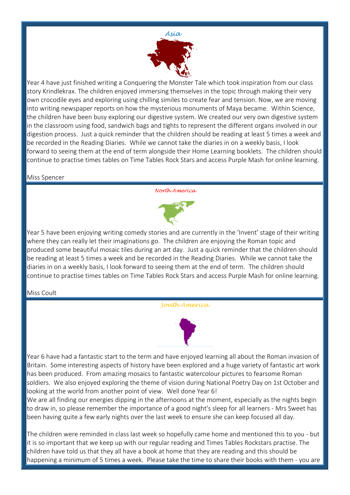

Year 4 have just finished writing a Conquering the Monster Tale which took inspiration from our class story Krindlekrax. The children enjoyed immersing themselves in the topic through making their very own crocodile eyes and exploring using chilling similes to create fear and tension. Now, we are moving into writing newspaper reports on how the mysterious monuments of Maya became. Within Science, the children have been busy exploring our digestive system. We created our very own digestive system in the classroom using food, sandwich bags and tights to represent the different organs involved in our digestion process. Just a quick reminder that the children should be reading at least 5 times a week and be recorded in the Reading Diaries. While we cannot take the diaries in on a weekly basis, I look forward to seeing them at the end of term alongside their Home Learning booklets. The children should continue to practise times tables on Time Tables Rock Stars and access Purple Mash for online learning.

#### Miss Spencer

North America



Year 5 have been enjoying writing comedy stories and are currently in the 'Invent' stage of their writing where they can really let their imaginations go. The children are enjoying the Roman topic and produced some beautiful mosaic tiles during an art day. Just a quick reminder that the children should be reading at least 5 times a week and be recorded in the Reading Diaries. While we cannot take the diaries in on a weekly basis, I look forward to seeing them at the end of term. The children should continue to practise times tables on Time Tables Rock Stars and access Purple Mash for online learning.

#### Miss Coult

South America



Year 6 have had a fantastic start to the term and have enjoyed learning all about the Roman invasion of Britain. Some interesting aspects of history have been explored and a huge variety of fantastic art work has been produced. From amazing mosaics to fantastic watercolour pictures to fearsome Roman soldiers. We also enjoyed exploring the theme of vision during National Poetry Day on 1st October and looking at the world from another point of view. Well done Year 6!

We are all finding our energies dipping in the afternoons at the moment, especially as the nights begin to draw in, so please remember the importance of a good night's sleep for all learners - Mrs Sweet has been having quite a few early nights over the last week to ensure she can keep focused all day.

The children were reminded in class last week so hopefully came home and mentioned this to you - but it is so important that we keep up with our regular reading and Times Tables Rockstars practise. The children have told us that they all have a book at home that they are reading and this should be happening a minimum of 5 times a week. Please take the time to share their books with them - you are